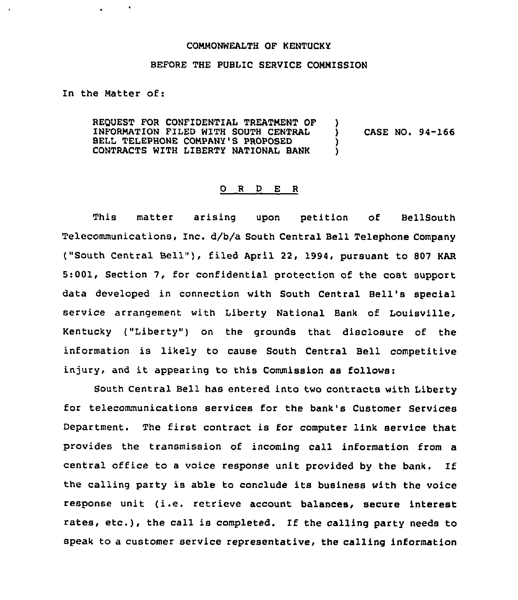## COMMONWEALTH OF KENTUCKY

## BEFORE THE PUBLIC SERVICE COMMISSION

In the Hatter of:

REQUEST FOR CONFIDENTIAL TREATMENT OF )<br>INFORMATION FILED WITH SOUTH CENTRAL INFORMATION FILED WITH SOUTH CENTRAL  $\qquad \qquad$  ) CASE NO. 94-166<br>BELL TELEPHONE COMPANY'S PROPOSED BELL TELEPHONE COMPANY'S PROPOSED  $\qquad \qquad )$ <br>CONTRACTS WITH LIBERTY NATIONAL BANK ) CONTRACTS WITH LIBERTY NATIONAL BANK )

## 0 R <sup>D</sup> E <sup>R</sup>

This matter arising upon petition of BellSouth Telecommunications, Inc. d/b/a South Central Bell Telephone Company ("South Central Bell"), filed April 22, 1994, pursuant to 807 KAR 5:001, Section 7, for confidential protection of the cost support data developed in connection with South Central Bell's special service arrangement with Liberty National Bank of Louisville, Kentucky ("Liberty" ) on the grounds that disclosure of the information is likely to cause South Central Bell competitive injury, and it appearing to this Commission as follows:

South Central Bell has entered into two contracts with Liberty for telecommunications services for the bank's Customer Services Department. The first contract is for computer link service that provides the transmission of incoming call information from a central office to <sup>a</sup> voice response unit provided by the bank. If the calling party is able to conclude its business with the voice response unit (i.e. retrieve account balances, secure interest rates, etc.), the call is completed. If the calling party needs to speak to a customer service representative, the calling information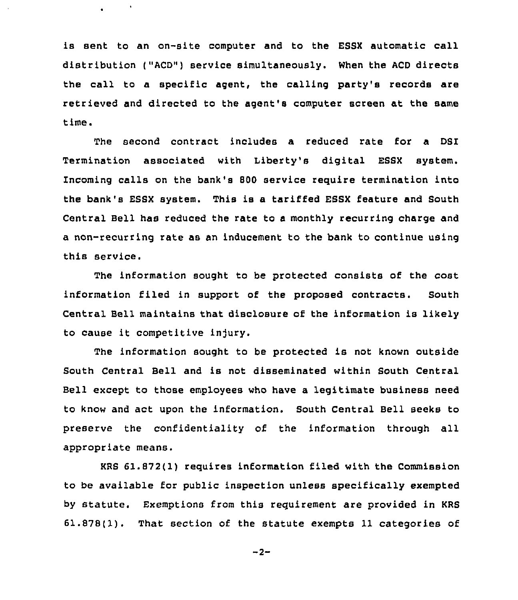is sent to an on-site computer and to the ESSX automatic call distribution ("ACD") service simultaneously. When the ACD directs the call to a specific agent, the calling party's records are retrieved and directed to the agent's computer screen at the same time.

 $\mathcal{A}$ 

The second contract includes a reduced rate for a DSI Termination associated with Liberty's digital ESSX system. Incoming calls on the bank's 800 service require termination into the bank's ESSX system. This is a tariffed ESSX feature and South Central Bell has reduced the rate to a monthly recurring charge and a non-recurring rate as an inducement to the bank to continue using this service.

The information sought to be protected consists of the cost information filed in support of the proposed contracts. South Central Bell maintains that disclosure of the information is likely to cause it competitive injury.

The information sought to be protected is not known outside South Central Bell and is not disseminated within South Central Bell except to those employees who have a legitimate business need to know and act upon the information. South Central Bell seeks to preserve the confidentiality of the information through all appropriate means.

KRS 61.872(1) requires information filed with the Commission to be available for public inspection unless specifically exempted by statute. Exemptions from this requirement are provided in KRS 61.878(1). That section of the statute exempts 11 categories of

 $-2-$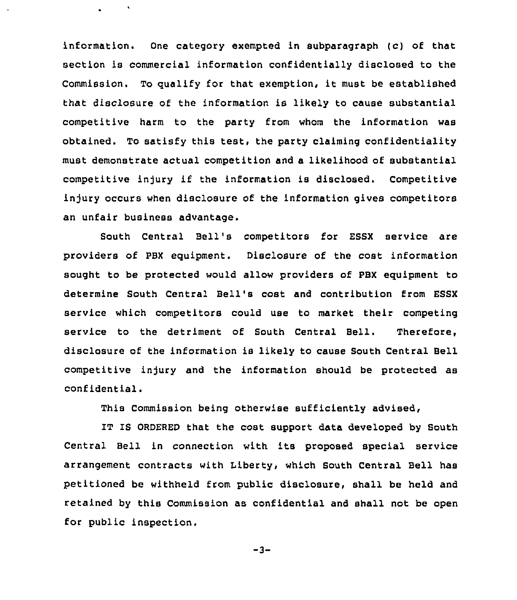information. One category exempted in subparagraph (c) of that section is commercial information confidentially disclosed to the Commission. To qualify for that exemption, it must be established that disclosure of the information is likely to cause substantial competitive harm to the party from whom the information was obtained. To satisfy this test, the party claiming confidentiality must demonstrate actual competition and a likelihood of substantial competitive injury if the information is disclosed. Competitive injury occurs when disclosure of the information gives competitors an unfair business advantage.

South Central Bell's competitors for ESSX service are providers of PBX equipment. Disclosure of the cost information sought to be protected would allow providers of PBX equipment to determine South Central Bell's cost and contribution from ESSX service which competitors could use to market their competing service to the detriment of South Central Bell. Therefore, disclosure of the information is likely to cause South Central Bell competitive injury and the information should be protected as confidential.

This Commission being otherwise sufficiently advised,

IT IS ORDERED that the cost support data developed by South Central Bell in connection with its proposed special service arrangement contracts with Liberty, which South Central Bell has petitioned be withheld from public disclosure, shall be held and retained by this Commission as confidential and shall not be open for public inspection.

 $-3-$